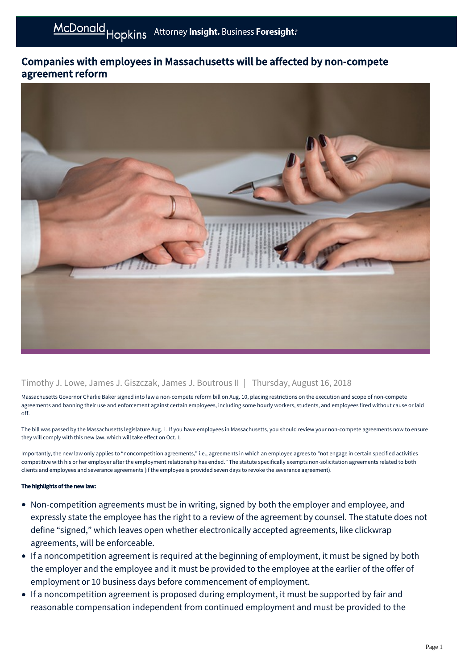## Companies with employees in Massachusetts will be affected by non-compete agreement reform



## Timothy J. Lowe, James J. Giszczak, James J. Boutrous II | Thursday, August 16, 2018

Massachusetts Governor Charlie Baker signed into law a non-compete reform bill on Aug. 10, placing restrictions on the execution and scope of non-compete agreements and banning their use and enforcement against certain employees, including some hourly workers, students, and employees fired without cause or laid off.

The bill was passed by the Massachusetts legislature Aug. 1. If you have employees in Massachusetts, you should review your non-compete agreements now to ensure they will comply with this new law, which will take effect on Oct. 1.

Importantly, the new law only applies to "noncompetition agreements," i.e., agreements in which an employee agrees to "not engage in certain specified activities competitive with his or her employer after the employment relationship has ended." The statute specifically exempts non-solicitation agreements related to both clients and employees and severance agreements (if the employee is provided seven days to revoke the severance agreement).

## The highlights of the new law:

- Non-competition agreements must be in writing, signed by both the employer and employee, and expressly state the employee has the right to a review of the agreement by counsel. The statute does not define "signed," which leaves open whether electronically accepted agreements, like clickwrap agreements, will be enforceable.
- If a noncompetition agreement is required at the beginning of employment, it must be signed by both the employer and the employee and it must be provided to the employee at the earlier of the offer of employment or 10 business days before commencement of employment.
- If a noncompetition agreement is proposed during employment, it must be supported by fair and reasonable compensation independent from continued employment and must be provided to the